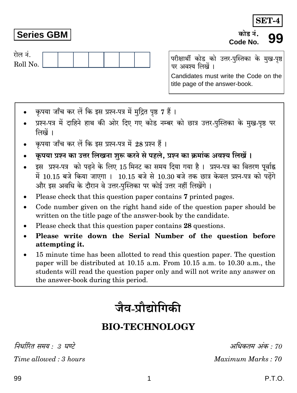कपया जाँच कर लें कि इस प्रश्न-पत्र में मुद्रित पृष्ठ 7 हैं।

- प्रश्न-पत्र में दाहिने हाथ की ओर दिए गए कोड नम्बर को छात्र उत्तर-पुस्तिका के मुख-पृष्ठ पर लिखें ।
- कपया जाँच कर लें कि इस प्रश्न-पत्र में 28 प्रश्न हैं।
- कपया प्रश्न का उत्तर लिखना शुरू करने से पहले. प्रश्न का क्रमांक अवश्य लिखें।
- इस प्रश्न-पत्र को पढने के लिए 15 मिनट का समय दिया गया है। प्रश्न-पत्र का वितरण पूर्वाह्न में 10.15 बजे किया जाएगा । 10.15 बजे से 10.30 बजे तक छात्र केवल प्रश्न-पत्र को पढेंगे और इस अवधि के दौरान वे उत्तर-पुस्तिका पर कोई उत्तर नहीं लिखेंगे ।
- Please check that this question paper contains 7 printed pages.
- Code number given on the right hand side of the question paper should be  $\bullet$ written on the title page of the answer-book by the candidate.
- Please check that this question paper contains 28 questions.
- Please write down the Serial Number of the question before attempting it.
- 15 minute time has been allotted to read this question paper. The question paper will be distributed at 10.15 a.m. From 10.15 a.m. to 10.30 a.m., the students will read the question paper only and will not write any answer on the answer-book during this period.

# जैव-प्रौद्योगिकी

## **BIO-TECHNOLOGY**

निर्धारित समय · ३ घण्टे

Time allowed: 3 hours

## P.T.O.

अधिकतम अंक · 70

Maximum Marks: 70

परीक्षार्थी कोड को उत्तर-पुस्तिका के मुख-पृष्ठ पर अवश्य लिखें । Candidates must write the Code on the title page of the answer-book.

# **Series GBM**

रोल नं.

Roll No.

**SET-4** 

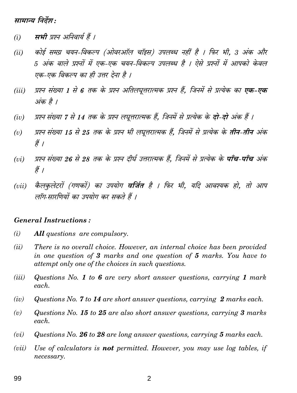मामान्य निर्देश :

- मभी प्रश्न अनिवार्य हैं ।  $(i)$
- कोई समग्र चयन-विकल्प (ओवरऑल चॉइस) उपलब्ध नहीं है । फिर भी, 3 अंक और  $(ii)$ 5 अंक वाले प्रश्नों में एक-एक चयन-विकल्प उपलब्ध है । ऐसे प्रश्नों में आपको केवल एक-एक विकल्प का ही उत्तर देना है ।
- प्रश्न संख्या 1 से 6 तक के प्रश्न अतिलघुत्तरात्मक प्रश्न हैं. जिनमें से प्रत्येक का एक-एक  $(iii)$ अंक है ।
- प्रश्न संख्या 7 से 14 तक के प्रश्न लघूत्तरात्मक हैं, जिनमें से प्रत्येक के **दो-दो** अंक हैं ।  $(iv)$
- प्रश्न संख्या 15 से 25 तक के प्रश्न भी लघूत्तरात्मक हैं, जिनमें से प्रत्येक के **तीन-तीन** अंक  $(v)$ , हैं ।
- प्रश्न संख्या 26 से 28 तक के प्रश्न दीर्घ उत्तरात्मक हैं. जिनमें से प्रत्येक के **पाँच-पाँच** अंक  $(vi)$ हैं ।
- कैलकृलेटरों (गणकों) का उपयोग **वर्जित** है । फिर भी, यदि आवश्यक हो, तो आप  $(vii)$ लॉग सारणियों का उपयोग कर सकते हैं ।

#### **General Instructions:**

- $(i)$ All questions are compulsory.
- $(ii)$ There is no overall choice. However, an internal choice has been provided in one question of 3 marks and one question of 5 marks. You have to attempt only one of the choices in such questions.
- $(iii)$ Questions No. 1 to 6 are very short answer questions, carrying 1 mark each.
- Questions No. 7 to 14 are short answer questions, carrying 2 marks each.  $(iv)$
- Questions No. 15 to 25 are also short answer questions, carrying 3 marks  $(v)$  $each$ .
- $(vi)$ Questions No. 26 to 28 are long answer questions, carrying 5 marks each.
- Use of calculators is **not** permitted. However, you may use log tables, if  $(vii)$ necessary.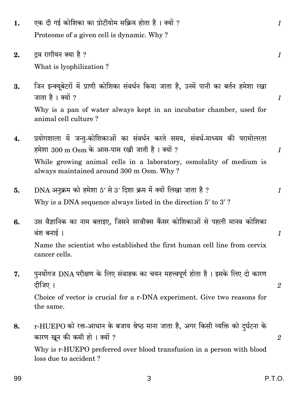| 1. | एक दी गई कोशिका का प्रोटीयोम सक्रिय होता है । क्यों ?<br>Proteome of a given cell is dynamic. Why?                                                                                                                                                 | $\boldsymbol{\mathit{1}}$ |
|----|----------------------------------------------------------------------------------------------------------------------------------------------------------------------------------------------------------------------------------------------------|---------------------------|
| 2. | द्रव रागीयन क्या है ?<br>What is lyophilization?                                                                                                                                                                                                   | 1                         |
| 3. | जिन इन्क्यूबेटरों में प्राणी कोशिका संवर्धन किया जाता है, उनमें पानी का बर्तन हमेशा रखा<br>जाता है। क्यों ?<br>Why is a pan of water always kept in an incubator chamber, used for<br>animal cell culture?                                         | $\boldsymbol{\mathit{1}}$ |
| 4. | प्रयोगशाला में जन्तु-कोशिकाओं का संवर्धन करते समय, संवर्ध-माध्यम की परामोलरता<br>हमेशा 300 m Osm के आस-पास रखी जाती है। क्यों ?<br>While growing animal cells in a laboratory, osmolality of medium is<br>always maintained around 300 m Osm. Why? | 1                         |
| 5. | DNA अनुक्रम को हमेशा 5' से 3' दिशा क्रम में क्यों लिखा जाता है ?<br>Why is a DNA sequence always listed in the direction 5' to 3'?                                                                                                                 | 1                         |
| 6. | उस वैज्ञानिक का नाम बताइए, जिसने सरवीक्स कैंसर कोशिकाओं से पहली मानव कोशिका<br>वंश बनाई।<br>Name the scientist who established the first human cell line from cervix<br>cancer cells.                                                              | $\boldsymbol{\mathit{1}}$ |
| 7. | पुनर्योगज DNA परीक्षण के लिए संवाहक का चयन महत्त्वपूर्ण होता है । इसके लिए दो कारण<br>दीजिए ।<br>Choice of vector is crucial for a r-DNA experiment. Give two reasons for<br>the same.                                                             | $\mathbf{2}$              |
| 8. | r-HUEPO को रक्त-आधान के बजाय श्रेष्ठ माना जाता है, अगर किसी व्यक्ति को दुर्घटना के<br>कारण खून की कमी हो। क्यों ?<br>Why is r-HUEPO preferred over blood transfusion in a person with blood<br>loss due to accident?                               | $\mathbf{2}$              |

 $\mathbf{3}$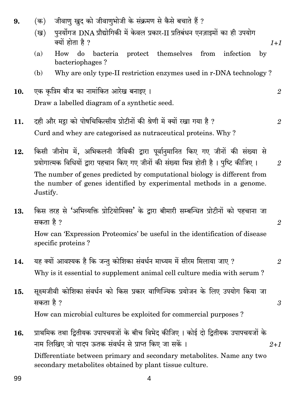How do bacteria protect themselves  $(a)$ from infection  $\mathbf{b}$ bacteriophages? Why are only type-II restriction enzymes used in r-DNA technology? (b) एक कृत्रिम बीज का नामांकित आरेख बनाइए। 10.  $\overline{2}$ Draw a labelled diagram of a synthetic seed. दही और मद्रा को पोषचिकित्सीय प्रोटीनों की श्रेणी में क्यों रखा गया है ? 11.  $\mathfrak{D}$ Curd and whey are categorised as nutraceutical proteins. Why? किसी जीनोम में, अभिकलनी जैविकी द्वारा पूर्वानुमानित किए गए जीनों की संख्या से 12. प्रयोगात्मक विधियों द्वारा पहचान किए गए जीनों की संख्या भिन्न होती है। पृष्टि कीजिए।  $\mathfrak{D}$ The number of genes predicted by computational biology is different from the number of genes identified by experimental methods in a genome. Justify. किस तरह से 'अभिव्यक्ति प्रोटियोमिक्स' के द्वारा बीमारी सम्बन्धित प्रोटीनों को पहचाना जा 13. सकता है ?  $\mathfrak{D}$ How can 'Expression Proteomics' be useful in the identification of disease specific proteins? यह क्यों आवश्यक है कि जन्तु कोशिका संवर्धन माध्यम में सीरम मिलाया जाए ? 14.  $\overline{2}$ Why is it essential to supplement animal cell culture media with serum? सुक्ष्मजीवी कोशिका संवर्धन को किस प्रकार वाणिज्यिक प्रयोजन के लिए उपयोग किया जा 15. सकता है ?  $\mathfrak{3}$ How can microbial cultures be exploited for commercial purposes? प्राथमिक तथा द्वितीयक उपापचयजों के बीच विभेद कीजिए । कोई दो द्वितीयक उपापचयजों के 16. नाम लिखिए जो पादप ऊतक संवर्धन से प्राप्त किए जा सकें ।  $2 + 1$ Differentiate between primary and secondary metabolites. Name any two secondary metabolites obtained by plant tissue culture.

जीवाण खुद को जीवाणुभोजी के संक्रमण से कैसे बचाते हैं ?

पुनर्योगज DNA प्रौद्योगिकी में केवल प्रकार-II प्रतिबंधन एनज़ाइमों का ही उपयोग

 $1 + 1$ 

9.

(क)

 $(\overline{g})$ 

क्यों होता है ?

4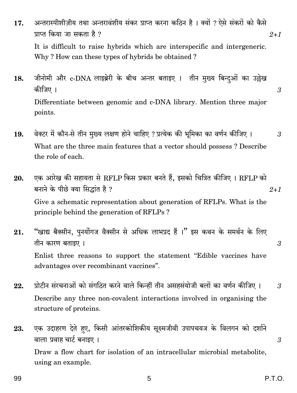- अन्तरास्पीशीज़ीय तथा अन्तरावंशीय संकर प्राप्त करना कठिन है । क्यों ? ऐसे संकरों को कैसे 17. प्राप्त किया जा सकता है ?  $2 + 1$ It is difficult to raise hybrids which are interspecific and intergeneric. Why? How can these types of hybrids be obtained?
- जीनोमी और c-DNA लाइब्रेरी के बीच अन्तर बताइए । तीन मुख्य बिन्दओं का उल्लेख 18. कीजिए । Differentiate between genomic and c-DNA library. Mention three major points.
- वेक्टर में कौन-से तीन मुख्य लक्षण होने चाहिए ? प्रत्येक की भूमिका का वर्णन कीजिए । 19. 3 What are the three main features that a vector should possess? Describe the role of each.
- एक आरेख की सहायता से RFLP किस प्रकार बनते हैं. इसको चित्रित कीजिए । RFLP को 20. बनाने के पीछे क्या सिद्धांत है ?  $2 + 1$ Give a schematic representation about generation of RFLPs. What is the principle behind the generation of RFLPs?
- "खाद्य बैक्सीन, पुनर्योगज वैक्सीन से अधिक लाभप्रद हैं ।" इस कथन के समर्थन के लिए 21. तीन कारण बताइए । 3 Enlist three reasons to support the statement "Edible vaccines have advantages over recombinant vaccines".
- प्रोटीन संरचनाओं को संगठित करने वाले किन्हीं तीन असहसंयोजी बलों का वर्णन कीजिए । 22.  $\mathfrak{z}$ Describe any three non-covalent interactions involved in organising the structure of proteins.
- एक उदाहरण देते हए, किसी आंतरकोशिकीय सूक्ष्मजीवी उपापचयज के विलगन को दर्शाने 23. वाला प्रवाह चार्ट बनाइए । Draw a flow chart for isolation of an intracellular microbial metabolite, using an example.

 $\mathfrak{z}$ 

3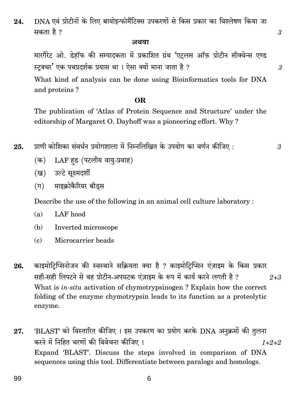DNA एवं प्रोटीनों के लिए बायोइन्फोर्मैटिक्स उपकरणों से किस प्रकार का विश्लेषण किया जा 24. सकता है ?

#### अथवा

मारगैरेट ओ. डेहॉफ की सम्पादकता में प्रकाशित ग्रंथ 'एट्लस ऑफ़ प्रोटीन सीक्वेन्स एण्ड स्टक्चर' एक पथप्रदर्शक प्रयास था । ऐसा क्यों माना जाता है ?

What kind of analysis can be done using Bioinformatics tools for DNA and proteins?

#### OR.

The publication of 'Atlas of Protein Sequence and Structure' under the editorship of Margaret O. Dayhoff was a pioneering effort. Why?

प्राणी कोशिका संवर्धन प्रयोगशाला में निम्नलिखित के उपयोग का वर्णन कीजिए : 25.

- LAF हड (पटलीय वायु-प्रवाह) (क)
- (ख) उल्टे सुक्ष्मदर्शी
- माइक्रोकैरियर बीडस  $(\Pi)$

Describe the use of the following in an animal cell culture laboratory:

- $(a)$ LAF hood
- (b) Inverted microscope
- $\epsilon$ ) Microcarrier beads
- काइमोटिप्सिनोजन की स्वस्थाने सक्रियता क्या है ? काइमोटिप्सिन एंज़ाइम के किस प्रकार 26. सही-सही लिपटने से वह प्रोटीन-अपघटक एंज़ाइम के रूप में कार्य करने लगती है ?  $2 + 3$ What is *in-situ* activation of chymotrypsinogen? Explain how the correct folding of the enzyme chymotrypsin leads to its function as a proteolytic enzyme.
- 'BLAST' को विस्तारित कीजिए । इस उपकरण का प्रयोग करके DNA अनुक्रमों की तुलना 27. करने में निहित चरणों की विवेचना कीजिए ।  $1+2+2$ Expand 'BLAST'. Discuss the steps involved in comparison of DNA sequences using this tool. Differentiate between paralogs and homologs.

6

 $\mathfrak{z}$ 

 $\mathfrak{z}$